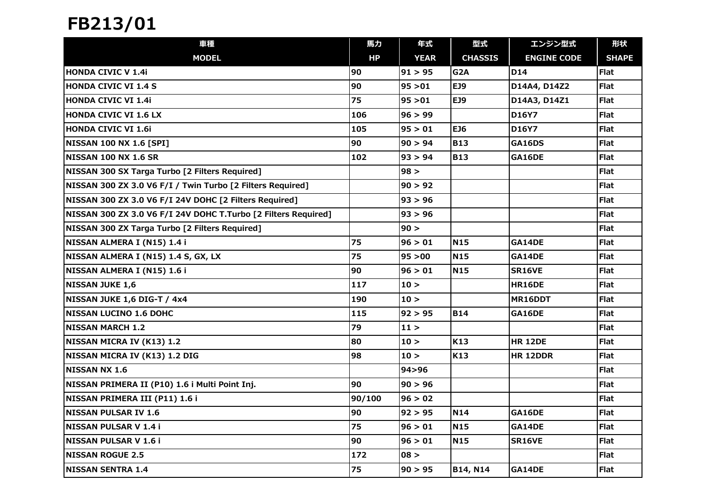## FB213/01

| 車種                                                             | 馬力     | 年式          | 型式               | エンジン型式             | 形状           |
|----------------------------------------------------------------|--------|-------------|------------------|--------------------|--------------|
| <b>MODEL</b>                                                   | HP     | <b>YEAR</b> | <b>CHASSIS</b>   | <b>ENGINE CODE</b> | <b>SHAPE</b> |
| <b>HONDA CIVIC V 1.4i</b>                                      | 90     | 91 > 95     | G <sub>2</sub> A | <b>D14</b>         | <b>Flat</b>  |
| <b>HONDA CIVIC VI 1.4 S</b>                                    | 90     | 95 > 01     | EJ9              | D14A4, D14Z2       | <b>Flat</b>  |
| <b>HONDA CIVIC VI 1.4i</b>                                     | 75     | 95 > 01     | EJ9              | D14A3, D14Z1       | <b>Flat</b>  |
| <b>HONDA CIVIC VI 1.6 LX</b>                                   | 106    | 96 > 99     |                  | D16Y7              | <b>Flat</b>  |
| <b>HONDA CIVIC VI 1.6i</b>                                     | 105    | 95 > 01     | EJ6              | D16Y7              | <b>Flat</b>  |
| <b>NISSAN 100 NX 1.6 [SPI]</b>                                 | 90     | 90 > 94     | <b>B13</b>       | <b>GA16DS</b>      | <b>Flat</b>  |
| <b>NISSAN 100 NX 1.6 SR</b>                                    | 102    | 93 > 94     | <b>B13</b>       | GA16DE             | <b>Flat</b>  |
| NISSAN 300 SX Targa Turbo [2 Filters Required]                 |        | 98 >        |                  |                    | <b>Flat</b>  |
| NISSAN 300 ZX 3.0 V6 F/I / Twin Turbo [2 Filters Required]     |        | 90 > 92     |                  |                    | <b>Flat</b>  |
| NISSAN 300 ZX 3.0 V6 F/I 24V DOHC [2 Filters Required]         |        | 93 > 96     |                  |                    | <b>Flat</b>  |
| NISSAN 300 ZX 3.0 V6 F/I 24V DOHC T.Turbo [2 Filters Required] |        | 93 > 96     |                  |                    | <b>Flat</b>  |
| NISSAN 300 ZX Targa Turbo [2 Filters Required]                 |        | 90 >        |                  |                    | <b>Flat</b>  |
| NISSAN ALMERA I (N15) 1.4 i                                    | 75     | 96 > 01     | <b>N15</b>       | GA14DE             | <b>Flat</b>  |
| NISSAN ALMERA I (N15) 1.4 S, GX, LX                            | 75     | 95 > 00     | <b>N15</b>       | GA14DE             | Flat         |
| NISSAN ALMERA I (N15) 1.6 i                                    | 90     | 96 > 01     | N <sub>15</sub>  | <b>SR16VE</b>      | Flat         |
| <b>NISSAN JUKE 1,6</b>                                         | 117    | 10 >        |                  | <b>HR16DE</b>      | <b>Flat</b>  |
| NISSAN JUKE 1,6 DIG-T / 4x4                                    | 190    | 10 >        |                  | MR16DDT            | <b>Flat</b>  |
| <b>NISSAN LUCINO 1.6 DOHC</b>                                  | 115    | 92 > 95     | <b>B14</b>       | GA16DE             | <b>Flat</b>  |
| <b>NISSAN MARCH 1.2</b>                                        | 79     | 11 >        |                  |                    | <b>Flat</b>  |
| NISSAN MICRA IV (K13) 1.2                                      | 80     | 10 >        | K13              | <b>HR 12DE</b>     | <b>Flat</b>  |
| NISSAN MICRA IV (K13) 1.2 DIG                                  | 98     | 10 >        | K13              | <b>HR 12DDR</b>    | <b>Flat</b>  |
| <b>NISSAN NX 1.6</b>                                           |        | 94>96       |                  |                    | <b>Flat</b>  |
| NISSAN PRIMERA II (P10) 1.6 i Multi Point Inj.                 | 90     | 90 > 96     |                  |                    | <b>Flat</b>  |
| NISSAN PRIMERA III (P11) 1.6 i                                 | 90/100 | 96 > 02     |                  |                    | <b>Flat</b>  |
| <b>NISSAN PULSAR IV 1.6</b>                                    | 90     | 92 > 95     | N14              | GA16DE             | Flat         |
| INISSAN PULSAR V 1.4 i                                         | 75     | 96 > 01     | <b>N15</b>       | GA14DE             | <b>Flat</b>  |
| NISSAN PULSAR V 1.6 i                                          | 90     | 96 > 01     | <b>N15</b>       | <b>SR16VE</b>      | <b>Flat</b>  |
| <b>NISSAN ROGUE 2.5</b>                                        | 172    | 08 >        |                  |                    | <b>Flat</b>  |
| <b>NISSAN SENTRA 1.4</b>                                       | 75     | 90 > 95     | B14, N14         | GA14DE             | <b>Flat</b>  |